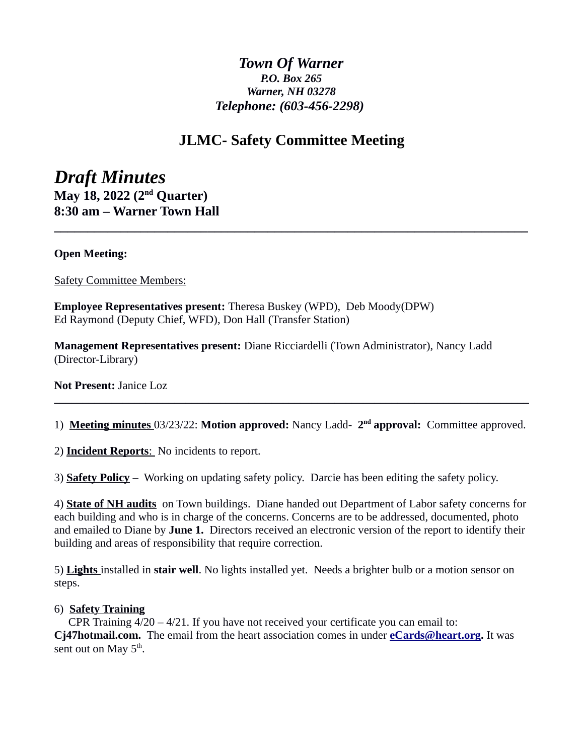# *Town Of Warner P.O. Box 265 Warner, NH 03278 Telephone: (603-456-2298)*

# **JLMC- Safety Committee Meeting**

**\_\_\_\_\_\_\_\_\_\_\_\_\_\_\_\_\_\_\_\_\_\_\_\_\_\_\_\_\_\_\_\_\_\_\_\_\_\_\_\_\_\_\_\_\_\_\_\_\_\_\_\_\_\_\_\_\_\_\_\_\_\_\_\_\_\_\_\_\_\_\_**

*Draft Minutes* **May 18, 2022 (2nd Quarter) 8:30 am – Warner Town Hall**

## **Open Meeting:**

Safety Committee Members:

**Employee Representatives present:** Theresa Buskey (WPD), Deb Moody(DPW) Ed Raymond (Deputy Chief, WFD), Don Hall (Transfer Station)

**Management Representatives present:** Diane Ricciardelli (Town Administrator), Nancy Ladd (Director-Library)

**Not Present:** Janice Loz

1) **Meeting minutes** 03/23/22: **Motion approved:** Nancy Ladd- 2<sup>nd</sup> approval: Committee approved.

**\_\_\_\_\_\_\_\_\_\_\_\_\_\_\_\_\_\_\_\_\_\_\_\_\_\_\_\_\_\_\_\_\_\_\_\_\_\_\_\_\_\_\_\_\_\_\_\_\_\_\_\_\_\_\_\_\_\_\_\_\_\_\_\_\_\_\_\_\_\_\_\_\_\_\_\_\_\_\_\_\_\_\_**

2) **Incident Reports**: No incidents to report.

3) **Safety Policy** – Working on updating safety policy. Darcie has been editing the safety policy.

4) **State of NH audits** on Town buildings. Diane handed out Department of Labor safety concerns for each building and who is in charge of the concerns. Concerns are to be addressed, documented, photo and emailed to Diane by **June 1.** Directors received an electronic version of the report to identify their building and areas of responsibility that require correction.

5) **Lights** installed in **stair well**. No lights installed yet. Needs a brighter bulb or a motion sensor on steps.

#### 6) **Safety Training**

CPR Training  $4/20 - 4/21$ . If you have not received your certificate you can email to: **Cj47hotmail.com.** The email from the heart association comes in under **[eCards@heart.org.](mailto:eCards@heart.org)** It was sent out on May  $5^{\text{th}}$ .